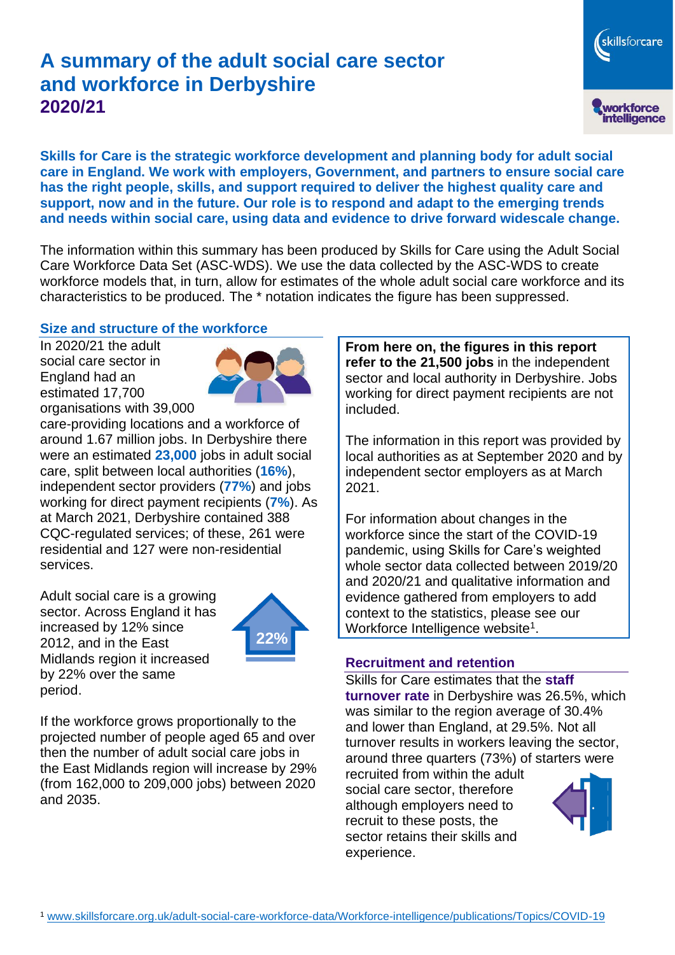# **A summary of the adult social care sector and workforce in Derbyshire 2020/21**

workforce<br>intelligence **Skills for Care is the strategic workforce development and planning body for adult social care in England. We work with employers, Government, and partners to ensure social care has the right people, skills, and support required to deliver the highest quality care and support, now and in the future. Our role is to respond and adapt to the emerging trends and needs within social care, using data and evidence to drive forward widescale change.**

The information within this summary has been produced by Skills for Care using the Adult Social Care Workforce Data Set (ASC-WDS). We use the data collected by the ASC-WDS to create workforce models that, in turn, allow for estimates of the whole adult social care workforce and its characteristics to be produced. The \* notation indicates the figure has been suppressed.

#### **Size and structure of the workforce**

In 2020/21 the adult social care sector in England had an estimated 17,700 organisations with 39,000



care-providing locations and a workforce of around 1.67 million jobs. In Derbyshire there were an estimated **23,000** jobs in adult social care, split between local authorities (**16%**), independent sector providers (**77%**) and jobs working for direct payment recipients (**7%**). As at March 2021, Derbyshire contained 388 CQC-regulated services; of these, 261 were residential and 127 were non-residential services.

Adult social care is a growing sector. Across England it has increased by 12% since 2012, and in the East Midlands region it increased by 22% over the same period.



If the workforce grows proportionally to the projected number of people aged 65 and over then the number of adult social care jobs in the East Midlands region will increase by 29% (from 162,000 to 209,000 jobs) between 2020 and 2035.

**From here on, the figures in this report refer to the 21,500 jobs** in the independent sector and local authority in Derbyshire. Jobs working for direct payment recipients are not included.

The information in this report was provided by local authorities as at September 2020 and by independent sector employers as at March 2021.

For information about changes in the workforce since the start of the COVID-19 pandemic, using Skills for Care's weighted whole sector data collected between 2019/20 and 2020/21 and qualitative information and evidence gathered from employers to add context to the statistics, please see our Workforce Intelligence website<sup>1</sup>.

#### **Recruitment and retention**

Skills for Care estimates that the **staff turnover rate** in Derbyshire was 26.5%, which was similar to the region average of 30.4% and lower than England, at 29.5%. Not all turnover results in workers leaving the sector, around three quarters (73%) of starters were

recruited from within the adult social care sector, therefore although employers need to recruit to these posts, the sector retains their skills and experience.



skillsforcare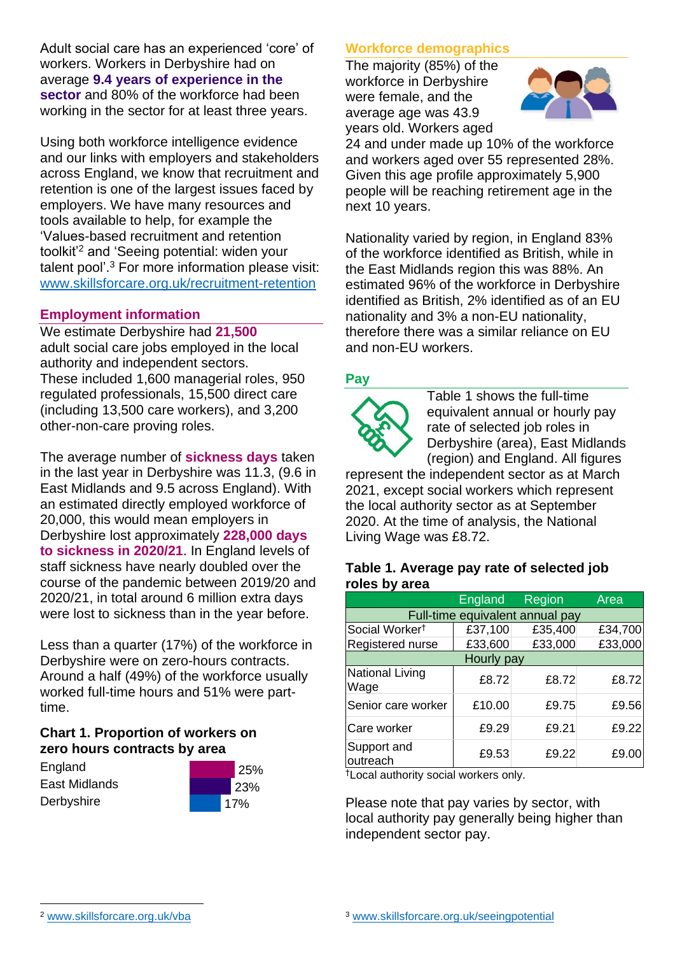Adult social care has an experienced 'core' of workers. Workers in Derbyshire had on average **9.4 years of experience in the sector** and 80% of the workforce had been working in the sector for at least three years.

Using both workforce intelligence evidence and our links with employers and stakeholders across England, we know that recruitment and retention is one of the largest issues faced by employers. We have many resources and tools available to help, for example the 'Values-based recruitment and retention toolkit'<sup>2</sup> and 'Seeing potential: widen your talent pool'. <sup>3</sup> For more information please visit: [www.skillsforcare.org.uk/recruitment-retention](http://www.skillsforcare.org.uk/recruitment-retention)

#### **Employment information**

We estimate Derbyshire had **21,500** adult social care jobs employed in the local authority and independent sectors. These included 1,600 managerial roles, 950 regulated professionals, 15,500 direct care (including 13,500 care workers), and 3,200 other-non-care proving roles.

The average number of **sickness days** taken in the last year in Derbyshire was 11.3, (9.6 in East Midlands and 9.5 across England). With an estimated directly employed workforce of 20,000, this would mean employers in Derbyshire lost approximately **228,000 days to sickness in 2020/21**. In England levels of staff sickness have nearly doubled over the course of the pandemic between 2019/20 and 2020/21, in total around 6 million extra days were lost to sickness than in the year before.

Less than a quarter (17%) of the workforce in Derbyshire were on zero-hours contracts. Around a half (49%) of the workforce usually worked full-time hours and 51% were parttime.

### **Chart 1. Proportion of workers on zero hours contracts by area**

**England** East Midlands **Derbyshire** 



### **Workforce demographics**

The majority (85%) of the workforce in Derbyshire were female, and the average age was 43.9 years old. Workers aged



24 and under made up 10% of the workforce and workers aged over 55 represented 28%. Given this age profile approximately 5,900 people will be reaching retirement age in the next 10 years.

Nationality varied by region, in England 83% of the workforce identified as British, while in the East Midlands region this was 88%. An estimated 96% of the workforce in Derbyshire identified as British, 2% identified as of an EU nationality and 3% a non-EU nationality, therefore there was a similar reliance on EU and non-EU workers.

### **Pay**



Table 1 shows the full-time equivalent annual or hourly pay rate of selected job roles in Derbyshire (area), East Midlands (region) and England. All figures

represent the independent sector as at March 2021, except social workers which represent the local authority sector as at September 2020. At the time of analysis, the National Living Wage was £8.72.

#### **Table 1. Average pay rate of selected job roles by area**

|                                 | <b>England</b> | Region  | Area    |
|---------------------------------|----------------|---------|---------|
| Full-time equivalent annual pay |                |         |         |
| Social Worker <sup>t</sup>      | £37,100        | £35,400 | £34,700 |
| Registered nurse                | £33,600        | £33,000 | £33,000 |
| Hourly pay                      |                |         |         |
| National Living<br>Wage         | £8.72          | £8.72   | £8.72   |
| Senior care worker              | £10.00         | £9.75   | £9.56   |
| Care worker                     | £9.29          | £9.21   | £9.22   |
| Support and<br>outreach         | £9.53          | £9.22   | £9.00   |

†Local authority social workers only.

Please note that pay varies by sector, with local authority pay generally being higher than independent sector pay.